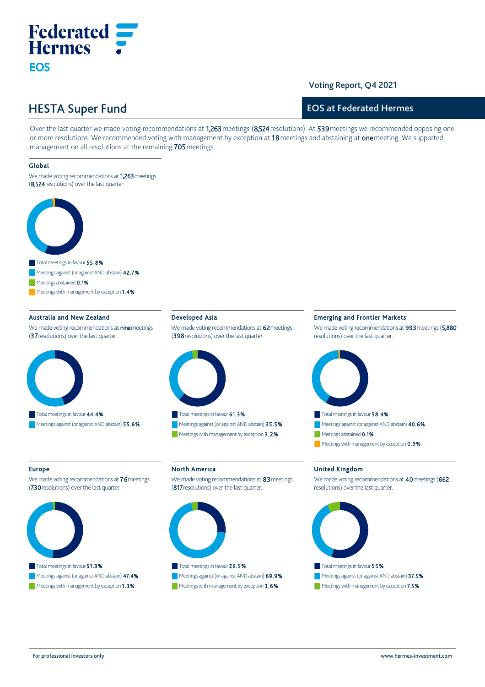# **Federated Hermes EOS**

# Voting Report, Q4 2021

# HESTA Super Fund

# EOS at Federated Hermes

Over the last quarter we made voting recommendations at 1,263 meetings (8,524 resolutions). At 539 meetings we recommended opposing one or more resolutions. We recommended voting with management by exception at 18 meetings and abstaining at one meeting. We supported management on all resolutions at the remaining 705 meetings.

### Global

We made voting recommendations at 1,263 meetings (8,524 resolutions) over the last quarter.



Meetings against (or against AND abstain) 42.7%

- Meetings abstained 0.1%
- Meetings with management by exception 1.4%

### Australia and New Zealand

We made voting recommendations at **nine** meetings (37 resolutions) over the last quarter.



### Developed Asia

We made voting recommendations at 62 meetings (398 resolutions) over the last quarter.



Total meetings in favour 61.3% Meetings against (or against AND abstain) 35.5% Meetings with management by exception 3.2%

# Emerging and Frontier Markets

We made voting recommendations at 993 meetings (5,880 resolutions) over the last quarter.



#### Europe

We made voting recommendations at 76 meetings (730 resolutions) over the last quarter.



# Meetings against (or against AND abstain) 47.4% Meetings with management by exception 1.3%

## North America

We made voting recommendations at 83 meetings (817 resolutions) over the last quarter.



# Meetings against (or against AND abstain) 69.9% Meetings with management by exception 3.6%

We made voting recommendations at 40 meetings (662 resolutions) over the last quarter.



United Kingdom